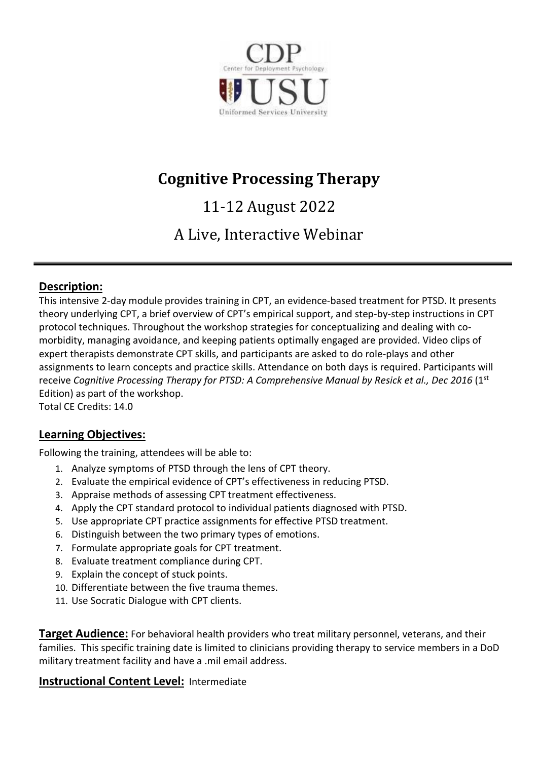

# **Cognitive Processing Therapy**

# 11-12 August 2022

# A Live, Interactive Webinar

# **Description:**

This intensive 2-day module provides training in CPT, an evidence-based treatment for PTSD. It presents theory underlying CPT, a brief overview of CPT's empirical support, and step-by-step instructions in CPT protocol techniques. Throughout the workshop strategies for conceptualizing and dealing with comorbidity, managing avoidance, and keeping patients optimally engaged are provided. Video clips of expert therapists demonstrate CPT skills, and participants are asked to do role-plays and other assignments to learn concepts and practice skills. Attendance on both days is required. Participants will receive *Cognitive Processing Therapy for PTSD: A Comprehensive Manual by Resick et al., Dec 2016* (1<sup>st</sup> Edition) as part of the workshop.

Total CE Credits: 14.0

# **Learning Objectives:**

Following the training, attendees will be able to:

- 1. Analyze symptoms of PTSD through the lens of CPT theory.
- 2. Evaluate the empirical evidence of CPT's effectiveness in reducing PTSD.
- 3. Appraise methods of assessing CPT treatment effectiveness.
- 4. Apply the CPT standard protocol to individual patients diagnosed with PTSD.
- 5. Use appropriate CPT practice assignments for effective PTSD treatment.
- 6. Distinguish between the two primary types of emotions.
- 7. Formulate appropriate goals for CPT treatment.
- 8. Evaluate treatment compliance during CPT.
- 9. Explain the concept of stuck points.
- 10. Differentiate between the five trauma themes.
- 11. Use Socratic Dialogue with CPT clients.

**Target Audience:** For behavioral health providers who treat military personnel, veterans, and their families. This specific training date is limited to clinicians providing therapy to service members in a DoD military treatment facility and have a .mil email address.

# **Instructional Content Level:** Intermediate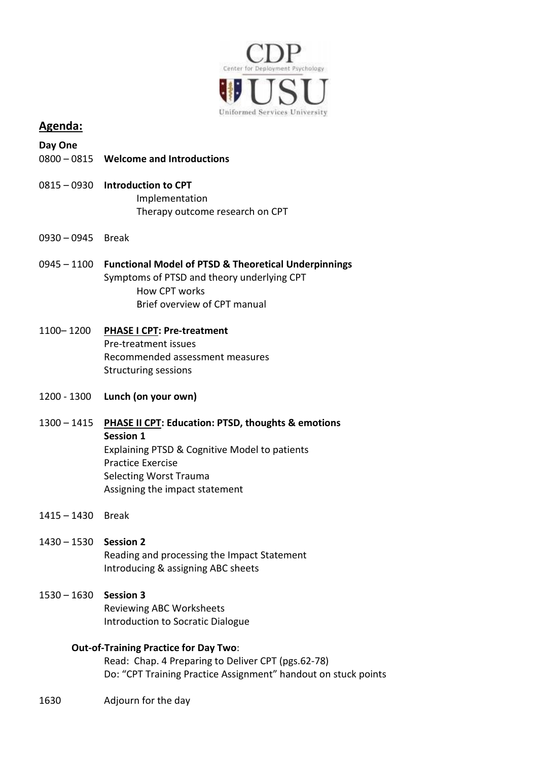

## **Agenda:**

- **Day One**
- 0800 0815 **Welcome and Introductions**
- 0815 0930 **Introduction to CPT** Implementation Therapy outcome research on CPT
- 0930 0945 Break
- 0945 1100 **Functional Model of PTSD & Theoretical Underpinnings** Symptoms of PTSD and theory underlying CPT How CPT works Brief overview of CPT manual
- 1100– 1200 **PHASE I CPT: Pre-treatment** Pre-treatment issues Recommended assessment measures Structuring sessions
- 1200 1300 **Lunch (on your own)**
- 1300 1415 **PHASE II CPT: Education: PTSD, thoughts & emotions Session 1** Explaining PTSD & Cognitive Model to patients Practice Exercise Selecting Worst Trauma Assigning the impact statement
- 1415 1430 Break
- 1430 1530 **Session 2** Reading and processing the Impact Statement Introducing & assigning ABC sheets
- 1530 1630 **Session 3** Reviewing ABC Worksheets Introduction to Socratic Dialogue

#### **Out-of-Training Practice for Day Two**:

Read: Chap. 4 Preparing to Deliver CPT (pgs.62-78) Do: "CPT Training Practice Assignment" handout on stuck points

1630 Adjourn for the day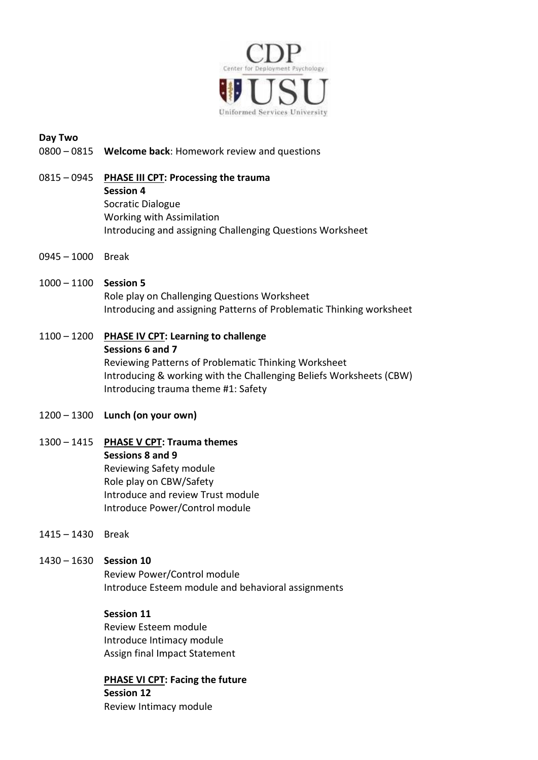

#### **Day Two**

- 0800 0815 **Welcome back**: Homework review and questions
- 0815 0945 **PHASE III CPT: Processing the trauma Session 4** Socratic Dialogue Working with Assimilation Introducing and assigning Challenging Questions Worksheet
- 0945 1000 Break
- 1000 1100 **Session 5** Role play on Challenging Questions Worksheet Introducing and assigning Patterns of Problematic Thinking worksheet
- 1100 1200 **PHASE IV CPT: Learning to challenge Sessions 6 and 7** Reviewing Patterns of Problematic Thinking Worksheet Introducing & working with the Challenging Beliefs Worksheets (CBW) Introducing trauma theme #1: Safety
- 1200 1300 **Lunch (on your own)**
- 1300 1415 **PHASE V CPT: Trauma themes Sessions 8 and 9** Reviewing Safety module Role play on CBW/Safety Introduce and review Trust module Introduce Power/Control module
- 1415 1430 Break

#### 1430 – 1630 **Session 10**

Review Power/Control module Introduce Esteem module and behavioral assignments

#### **Session 11**

Review Esteem module Introduce Intimacy module Assign final Impact Statement

**PHASE VI CPT: Facing the future Session 12** Review Intimacy module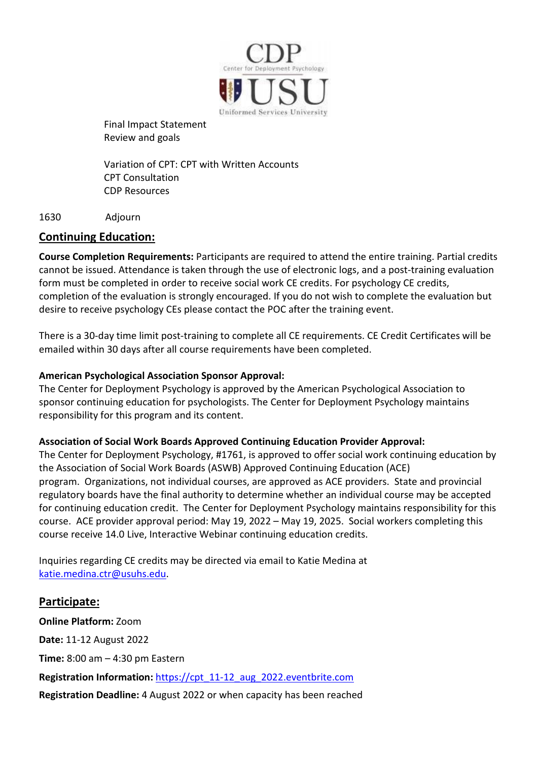

Final Impact Statement Review and goals

Variation of CPT: CPT with Written Accounts CPT Consultation CDP Resources

#### 1630 Adjourn

# **Continuing Education:**

**Course Completion Requirements:** Participants are required to attend the entire training. Partial credits cannot be issued. Attendance is taken through the use of electronic logs, and a post-training evaluation form must be completed in order to receive social work CE credits. For psychology CE credits, completion of the evaluation is strongly encouraged. If you do not wish to complete the evaluation but desire to receive psychology CEs please contact the POC after the training event.

There is a 30-day time limit post-training to complete all CE requirements. CE Credit Certificates will be emailed within 30 days after all course requirements have been completed.

## **American Psychological Association Sponsor Approval:**

The Center for Deployment Psychology is approved by the American Psychological Association to sponsor continuing education for psychologists. The Center for Deployment Psychology maintains responsibility for this program and its content.

## **Association of Social Work Boards Approved Continuing Education Provider Approval:**

The Center for Deployment Psychology, #1761, is approved to offer social work continuing education by the Association of Social Work Boards (ASWB) Approved Continuing Education (ACE) program. Organizations, not individual courses, are approved as ACE providers. State and provincial regulatory boards have the final authority to determine whether an individual course may be accepted for continuing education credit. The Center for Deployment Psychology maintains responsibility for this course. ACE provider approval period: May 19, 2022 – May 19, 2025. Social workers completing this course receive 14.0 Live, Interactive Webinar continuing education credits.

Inquiries regarding CE credits may be directed via email to Katie Medina at [katie.medina.ctr@usuhs.edu.](mailto:katie.medina.ctr@usuhs.edu)

## **Participate:**

**Online Platform:** Zoom **Date:** 11-12 August 2022 **Time:** 8:00 am – 4:30 pm Eastern **Registration Information:** [https://cpt\\_11-12\\_aug\\_2022.eventbrite.com](https://cpt_11-12_aug_2022.eventbrite.com/)  **Registration Deadline:** 4 August 2022 or when capacity has been reached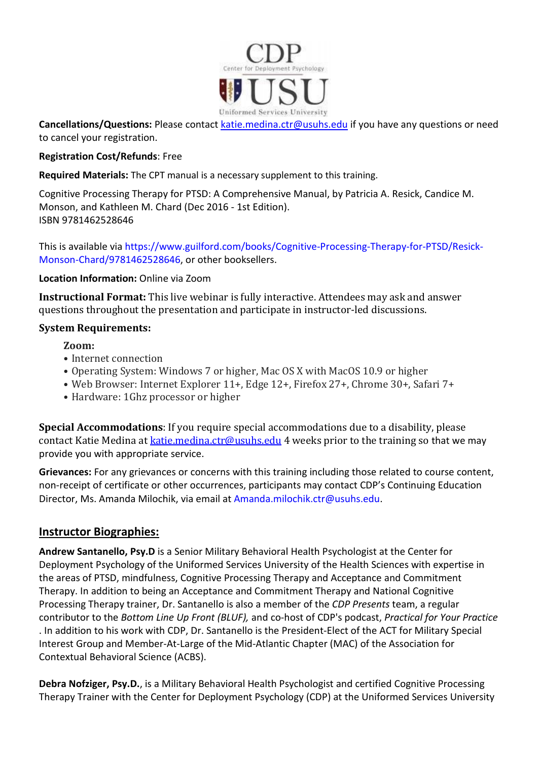

**Cancellations/Questions:** Please contact [katie.medina.ctr@usuhs.edu](mailto:katie.medina.ctr@usuhs.edu) if you have any questions or need to cancel your registration.

## **Registration Cost/Refunds**: Free

**Required Materials:** The CPT manual is a necessary supplement to this training.

Cognitive Processing Therapy for PTSD: A Comprehensive Manual, by Patricia A. Resick, Candice M. Monson, and Kathleen M. Chard (Dec 2016 - 1st Edition). ISBN 9781462528646

This is available via https://www.guilford.com/books/Cognitive-Processing-Therapy-for-PTSD/Resick-Monson-Chard/9781462528646, or other booksellers.

#### **Location Information:** Online via Zoom

**Instructional Format:** This live webinar is fully interactive. Attendees may ask and answer questions throughout the presentation and participate in instructor-led discussions.

#### **System Requirements:**

**Zoom:**

- Internet connection
- Operating System: Windows 7 or higher, Mac OS X with MacOS 10.9 or higher
- Web Browser: Internet Explorer 11+, Edge 12+, Firefox 27+, Chrome 30+, Safari 7+
- Hardware: 1Ghz processor or higher

**Special Accommodations**: If you require special accommodations due to a disability, please contact Katie Medina at [katie.medina.ctr@usuhs.edu](mailto:katie.medina.ctr@usuhs.edu) 4 weeks prior to the training so that we may provide you with appropriate service.

**Grievances:** For any grievances or concerns with this training including those related to course content, non-receipt of certificate or other occurrences, participants may contact CDP's Continuing Education Director, Ms. Amanda Milochik, via email at [Amanda.milochik.ctr@usuhs.edu.](mailto:Amanda.milochik.ctr@usuhs.edu)

## **Instructor Biographies:**

**Andrew Santanello, Psy.D** is a Senior Military Behavioral Health Psychologist at the Center for Deployment Psychology of the Uniformed Services University of the Health Sciences with expertise in the areas of PTSD, mindfulness, Cognitive Processing Therapy and Acceptance and Commitment Therapy. In addition to being an Acceptance and Commitment Therapy and National Cognitive Processing Therapy trainer, Dr. Santanello is also a member of the *CDP Presents* team, a regular contributor to the *Bottom Line Up Front (BLUF),* and co-host of CDP's podcast, *Practical for Your Practice* . In addition to his work with CDP, Dr. Santanello is the President-Elect of the ACT for Military Special Interest Group and Member-At-Large of the Mid-Atlantic Chapter (MAC) of the Association for Contextual Behavioral Science (ACBS).

**Debra Nofziger, Psy.D.**, is a Military Behavioral Health Psychologist and certified Cognitive Processing Therapy Trainer with the Center for Deployment Psychology (CDP) at the Uniformed Services University